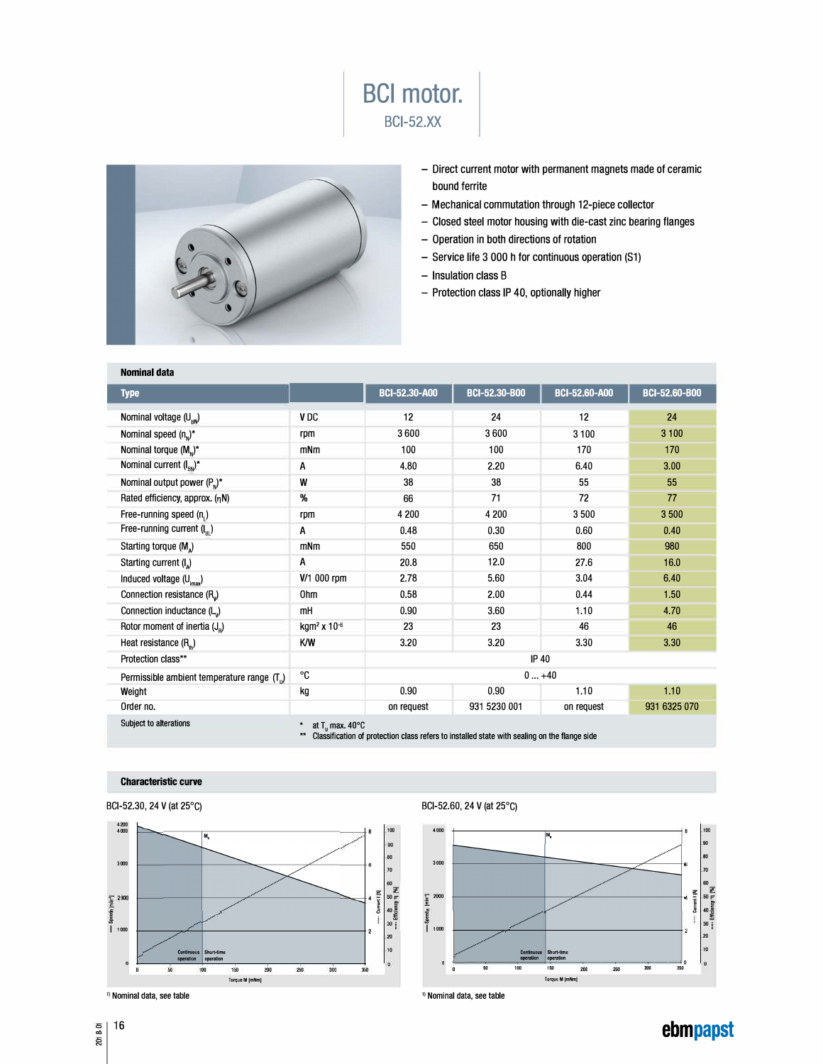



- Direct current motor with permanent magnets made of ceramic bound ferrite
- Mechanical commutation through 12-piece collector
- Closed steel motor housing with die-cast zinc bearing flanges
- Operation in both directions of rotation
- Service life 3 000 h for continuous operation (S1)
- Insulation class B
- Protection class IP 40, optionally higher

| <b>Nominal data</b>                                                                                                                                                           |                              |                      |                      |                      |                      |
|-------------------------------------------------------------------------------------------------------------------------------------------------------------------------------|------------------------------|----------------------|----------------------|----------------------|----------------------|
| <b>Type</b>                                                                                                                                                                   |                              | <b>BCI-52.30-A00</b> | <b>BCI-52,30-B00</b> | <b>BCI-52.60-A00</b> | <b>BCI-52,60-B00</b> |
| Nominal voltage $(U_{\rm BV})$                                                                                                                                                | V <sub>DC</sub>              | 12                   | 24                   | 12                   | 24                   |
| Nominal speed $(n_n)^*$                                                                                                                                                       | rpm                          | 3600                 | 3600                 | 3 100                | 3 100                |
| Nominal torque $(Mn)^*$                                                                                                                                                       | mNm                          | 100                  | 100                  | 170                  | 170                  |
| Nominal current $(I_{\rm SN})^*$                                                                                                                                              | A                            | 4.80                 | 2.20                 | 6.40                 | 3.00                 |
| Nominal output power $(PN)^*$                                                                                                                                                 | W                            | 38                   | 38                   | 55                   | 55                   |
| Rated efficiency, approx. (nN)                                                                                                                                                | %                            | 66                   | 71                   | 72                   | 77                   |
| Free-running speed $(n_1)$                                                                                                                                                    | rpm                          | 4 200                | 4 200                | 3500                 | 3500                 |
| Free-running current $(I_{\scriptscriptstyle\rm Pl})$                                                                                                                         | A                            | 0.48                 | 0.30                 | 0.60                 | 0.40                 |
| Starting torque (M <sub>a</sub> )                                                                                                                                             | mNm                          | 550                  | 650                  | 800                  | 980                  |
| Starting current (I <sub>a</sub> )                                                                                                                                            | A                            | 20.8                 | 12.0                 | 27.6                 | 16.0                 |
| Induced voltage (U <sub>imax</sub> )                                                                                                                                          | V/1 000 rpm                  | 2.78                 | 5.60                 | 3.04                 | 6.40                 |
| Connection resistance (R <sub>v</sub> )                                                                                                                                       | 0hm                          | 0.58                 | 2.00                 | 0.44                 | 1.50                 |
| Connection inductance (L)                                                                                                                                                     | mH                           | 0.90                 | 3.60                 | 1.10                 | 4.70                 |
| Rotor moment of inertia $(J_n)$                                                                                                                                               | kgm <sup>2</sup> x $10^{-6}$ | 23                   | 23                   | 46                   | 46                   |
| Heat resistance (R <sub>n</sub> )                                                                                                                                             | K/W                          | 3.20                 | 3.20                 | 3.30                 | 3.30                 |
| Protection class**                                                                                                                                                            |                              | <b>IP 40</b>         |                      |                      |                      |
| Permissible ambient temperature range (T <sub>i</sub> )                                                                                                                       | °C                           | $0+40$               |                      |                      |                      |
| Weight                                                                                                                                                                        | kg                           | 0.90                 | 0.90                 | 1.10                 | 1.10                 |
| Order no.                                                                                                                                                                     |                              | on request           | 931 5230 001         | on request           | 931 6325 070         |
| Subject to alterations<br>at $T_{\rm u}$ max. 40 $^{\circ}$ C<br>Classification of protection class refers to installed state with sealing on the flange side<br>$\star\star$ |                              |                      |                      |                      |                      |

## **Characteristic curve**





<sup>1)</sup> Nominal data, see table

BCl-52.60, 24 V (at 25° C)



**ebmpapst** 

<sup>0</sup>16  $2018 - C$